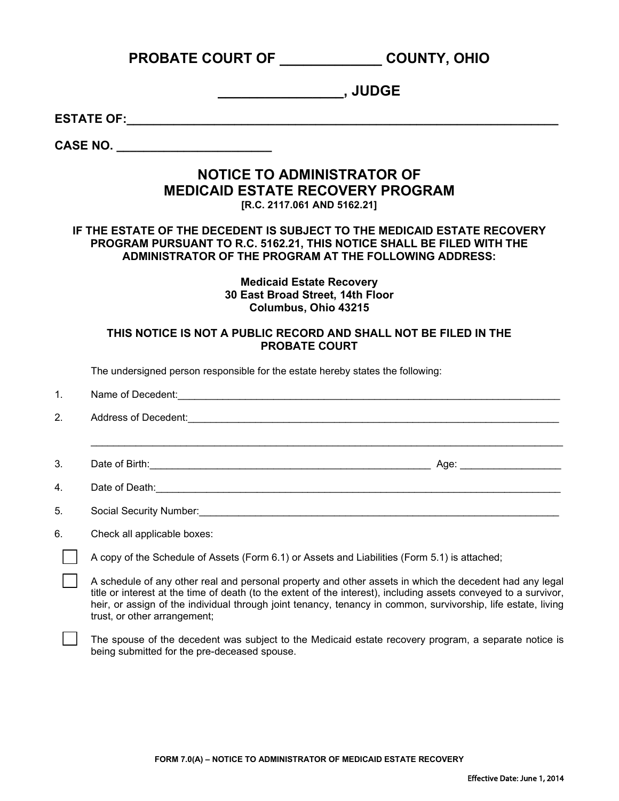|                                                                                                                                                                                                             | PROBATE COURT OF COUNTY, OHIO                                                                                                                                                                                                                                                                                                                                                |  |
|-------------------------------------------------------------------------------------------------------------------------------------------------------------------------------------------------------------|------------------------------------------------------------------------------------------------------------------------------------------------------------------------------------------------------------------------------------------------------------------------------------------------------------------------------------------------------------------------------|--|
|                                                                                                                                                                                                             |                                                                                                                                                                                                                                                                                                                                                                              |  |
|                                                                                                                                                                                                             |                                                                                                                                                                                                                                                                                                                                                                              |  |
| CASE NO. _______________________                                                                                                                                                                            |                                                                                                                                                                                                                                                                                                                                                                              |  |
| <b>NOTICE TO ADMINISTRATOR OF</b><br><b>MEDICAID ESTATE RECOVERY PROGRAM</b><br>[R.C. 2117.061 AND 5162.21]                                                                                                 |                                                                                                                                                                                                                                                                                                                                                                              |  |
| IF THE ESTATE OF THE DECEDENT IS SUBJECT TO THE MEDICAID ESTATE RECOVERY<br>PROGRAM PURSUANT TO R.C. 5162.21, THIS NOTICE SHALL BE FILED WITH THE<br>ADMINISTRATOR OF THE PROGRAM AT THE FOLLOWING ADDRESS: |                                                                                                                                                                                                                                                                                                                                                                              |  |
| <b>Medicaid Estate Recovery</b><br>30 East Broad Street, 14th Floor<br>Columbus, Ohio 43215                                                                                                                 |                                                                                                                                                                                                                                                                                                                                                                              |  |
| THIS NOTICE IS NOT A PUBLIC RECORD AND SHALL NOT BE FILED IN THE<br><b>PROBATE COURT</b>                                                                                                                    |                                                                                                                                                                                                                                                                                                                                                                              |  |
|                                                                                                                                                                                                             | The undersigned person responsible for the estate hereby states the following:                                                                                                                                                                                                                                                                                               |  |
| 1.                                                                                                                                                                                                          | Name of Decedent: <u>Contract Contract Contract Contract Contract Contract Contract Contract Contract Contract Contract Contract Contract Contract Contract Contract Contract Contract Contract Contract Contract Contract Contr</u>                                                                                                                                         |  |
| 2.                                                                                                                                                                                                          | Address of Decedent: <u>Communications and Constantine and Constantine and Constantine and Constantine and Constantine and Constantine and Constantine and Constantine and Constantine and Constantine and Constantine and Const</u>                                                                                                                                         |  |
| 3.                                                                                                                                                                                                          |                                                                                                                                                                                                                                                                                                                                                                              |  |
| 4.                                                                                                                                                                                                          | Date of Death:                                                                                                                                                                                                                                                                                                                                                               |  |
| 5.                                                                                                                                                                                                          | Social Security Number:                                                                                                                                                                                                                                                                                                                                                      |  |
| 6.                                                                                                                                                                                                          | Check all applicable boxes:                                                                                                                                                                                                                                                                                                                                                  |  |
|                                                                                                                                                                                                             | A copy of the Schedule of Assets (Form 6.1) or Assets and Liabilities (Form 5.1) is attached;                                                                                                                                                                                                                                                                                |  |
|                                                                                                                                                                                                             | A schedule of any other real and personal property and other assets in which the decedent had any legal<br>title or interest at the time of death (to the extent of the interest), including assets conveyed to a survivor,<br>heir, or assign of the individual through joint tenancy, tenancy in common, survivorship, life estate, living<br>trust, or other arrangement; |  |
|                                                                                                                                                                                                             | The spouse of the decedent was subject to the Medicaid estate recovery program, a separate notice is<br>being submitted for the pre-deceased spouse.                                                                                                                                                                                                                         |  |